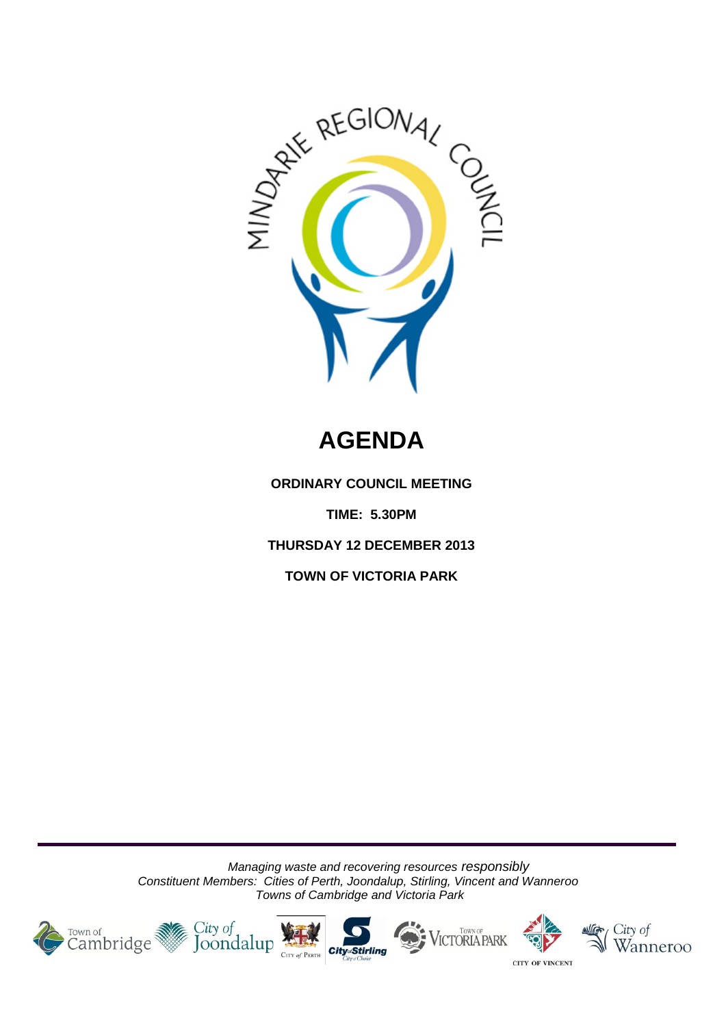

# **AGENDA**

**ORDINARY COUNCIL MEETING**

**TIME: 5.30PM**

**THURSDAY 12 DECEMBER 2013**

**TOWN OF VICTORIA PARK**

*Managing waste and recovering resources responsibly Constituent Members: Cities of Perth, Joondalup, Stirling, Vincent and Wanneroo Towns of Cambridge and Victoria Park*







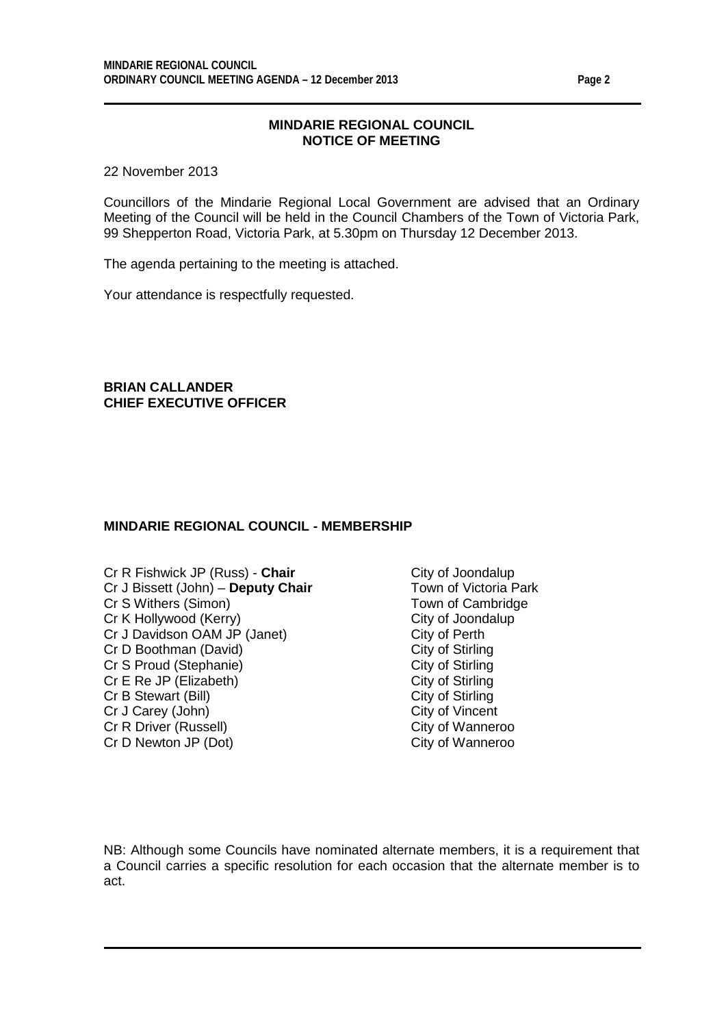#### **MINDARIE REGIONAL COUNCIL NOTICE OF MEETING**

22 November 2013

Councillors of the Mindarie Regional Local Government are advised that an Ordinary Meeting of the Council will be held in the Council Chambers of the Town of Victoria Park, 99 Shepperton Road, Victoria Park, at 5.30pm on Thursday 12 December 2013.

The agenda pertaining to the meeting is attached.

Your attendance is respectfully requested.

**BRIAN CALLANDER CHIEF EXECUTIVE OFFICER**

#### **MINDARIE REGIONAL COUNCIL - MEMBERSHIP**

Cr R Fishwick JP (Russ) - **Chair** City of Joondalup<br>Cr J Bissett (John) - **Deputy Chair** Town of Victoria Park Cr J Bissett (John) – Deputy Chair Cr S Withers (Simon) Town of Cambridge Cr K Hollywood (Kerry)<br>
Cr J Davidson OAM JP (Janet) Cr J Davidson OAM JP (Janet) Cr J Davidson OAM JP (Janet) City of Perth<br>
Cr D Boothman (David) City of Stirling Cr D Boothman (David) City of Stirling<br>
Cr S Proud (Stephanie) City of Stirling Cr S Proud (Stephanie) City of Stirling<br>
Cr E Re JP (Elizabeth) City of Stirling<br>
City of Stirling Cr E Re JP (Elizabeth) City of Stirling<br>
Cr B Stewart (Bill) Cr B Stewart (Bill) Cr B Stewart (Bill) Cr J Carey (John) City of Vincent<br>
Cr R Driver (Russell) Cr R Driver (Russell) Cr R Driver (Russell) Cr D Newton JP (Dot) City of Wanneroo

NB: Although some Councils have nominated alternate members, it is a requirement that a Council carries a specific resolution for each occasion that the alternate member is to act.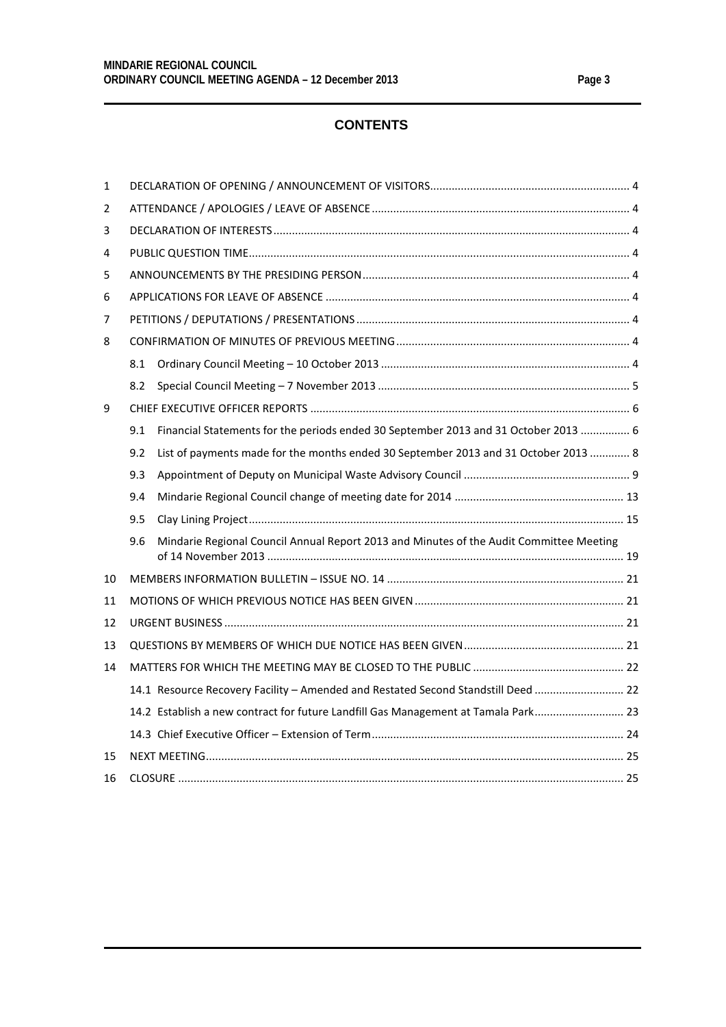#### **CONTENTS**

| $\mathbf{1}$ |     |                                                                                         |  |
|--------------|-----|-----------------------------------------------------------------------------------------|--|
| 2            |     |                                                                                         |  |
| 3            |     |                                                                                         |  |
| 4            |     |                                                                                         |  |
| 5            |     |                                                                                         |  |
| 6            |     |                                                                                         |  |
| 7            |     |                                                                                         |  |
| 8            |     |                                                                                         |  |
|              | 8.1 |                                                                                         |  |
|              | 8.2 |                                                                                         |  |
| 9            |     |                                                                                         |  |
|              | 9.1 | Financial Statements for the periods ended 30 September 2013 and 31 October 2013  6     |  |
|              | 9.2 | List of payments made for the months ended 30 September 2013 and 31 October 2013  8     |  |
|              | 9.3 |                                                                                         |  |
|              | 9.4 |                                                                                         |  |
|              | 9.5 |                                                                                         |  |
|              | 9.6 | Mindarie Regional Council Annual Report 2013 and Minutes of the Audit Committee Meeting |  |
| 10           |     |                                                                                         |  |
| 11           |     |                                                                                         |  |
| 12           |     |                                                                                         |  |
| 13           |     |                                                                                         |  |
| 14           |     |                                                                                         |  |
|              |     | 14.1 Resource Recovery Facility - Amended and Restated Second Standstill Deed  22       |  |
|              |     | 14.2 Establish a new contract for future Landfill Gas Management at Tamala Park 23      |  |
|              |     |                                                                                         |  |
| 15           |     |                                                                                         |  |
|              |     |                                                                                         |  |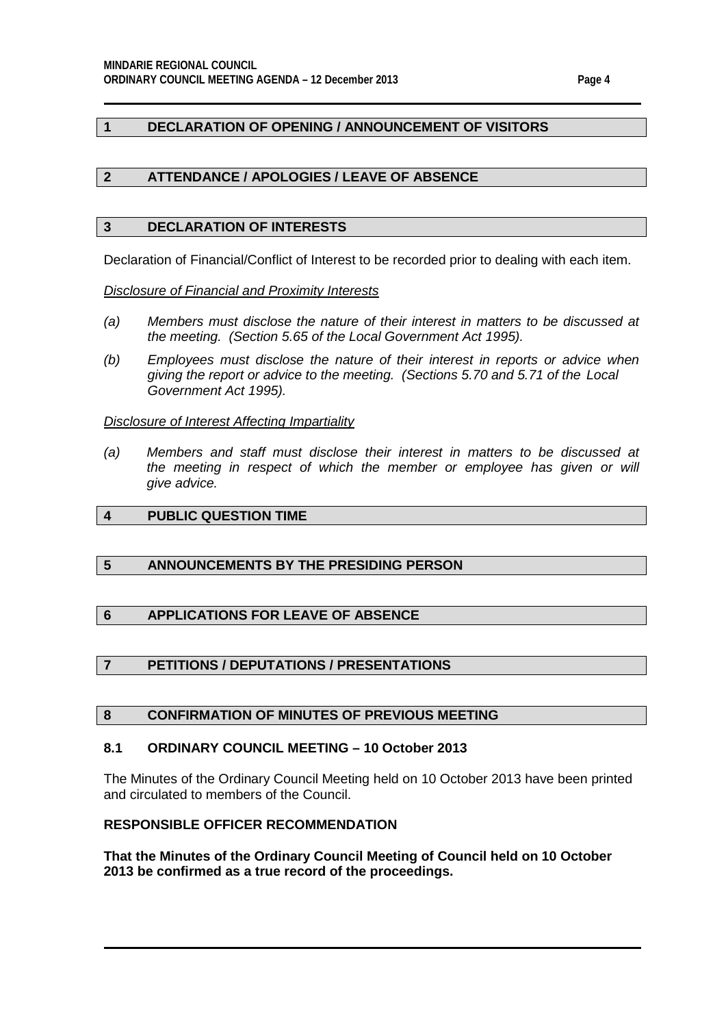#### <span id="page-3-0"></span>**1 DECLARATION OF OPENING / ANNOUNCEMENT OF VISITORS**

#### <span id="page-3-1"></span>**2 ATTENDANCE / APOLOGIES / LEAVE OF ABSENCE**

#### <span id="page-3-2"></span>**3 DECLARATION OF INTERESTS**

Declaration of Financial/Conflict of Interest to be recorded prior to dealing with each item.

*Disclosure of Financial and Proximity Interests*

- *(a) Members must disclose the nature of their interest in matters to be discussed at the meeting. (Section 5.65 of the Local Government Act 1995).*
- *(b) Employees must disclose the nature of their interest in reports or advice when giving the report or advice to the meeting. (Sections 5.70 and 5.71 of the Local Government Act 1995).*

#### *Disclosure of Interest Affecting Impartiality*

*(a) Members and staff must disclose their interest in matters to be discussed at*  the meeting in respect of which the member or employee has given or will *give advice.*

### <span id="page-3-3"></span>**4 PUBLIC QUESTION TIME**

#### <span id="page-3-4"></span>**5 ANNOUNCEMENTS BY THE PRESIDING PERSON**

#### <span id="page-3-5"></span>**6 APPLICATIONS FOR LEAVE OF ABSENCE**

#### <span id="page-3-6"></span>**7 PETITIONS / DEPUTATIONS / PRESENTATIONS**

#### <span id="page-3-7"></span>**8 CONFIRMATION OF MINUTES OF PREVIOUS MEETING**

#### <span id="page-3-8"></span>**8.1 ORDINARY COUNCIL MEETING – 10 October 2013**

The Minutes of the Ordinary Council Meeting held on 10 October 2013 have been printed and circulated to members of the Council.

#### **RESPONSIBLE OFFICER RECOMMENDATION**

**That the Minutes of the Ordinary Council Meeting of Council held on 10 October 2013 be confirmed as a true record of the proceedings.**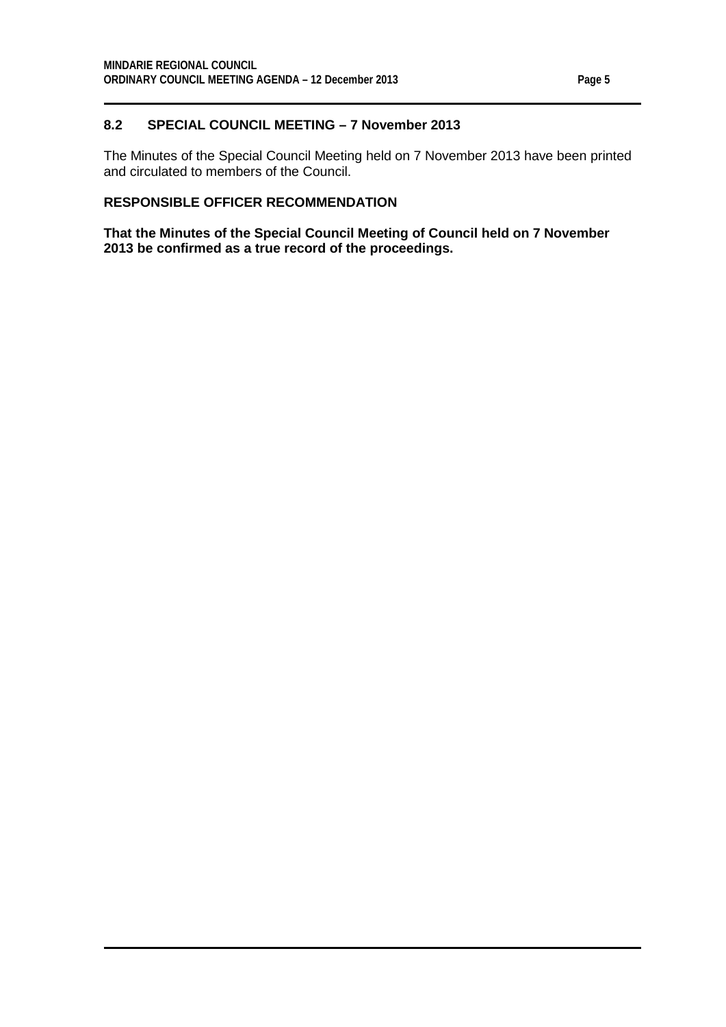#### <span id="page-4-0"></span>**8.2 SPECIAL COUNCIL MEETING – 7 November 2013**

The Minutes of the Special Council Meeting held on 7 November 2013 have been printed and circulated to members of the Council.

### **RESPONSIBLE OFFICER RECOMMENDATION**

**That the Minutes of the Special Council Meeting of Council held on 7 November 2013 be confirmed as a true record of the proceedings.**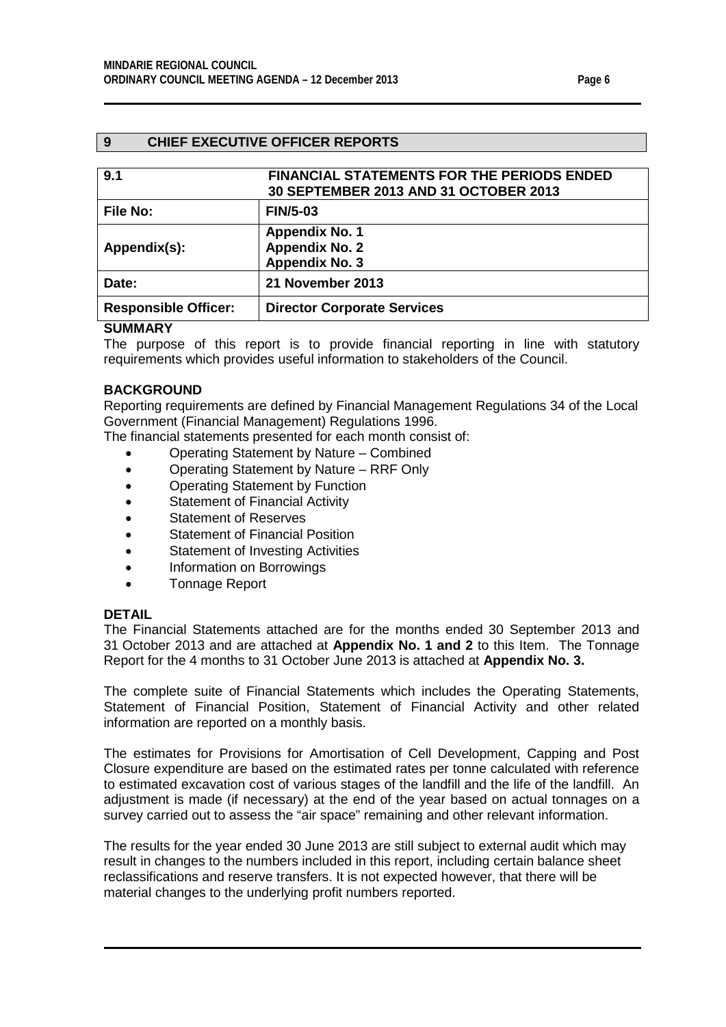#### <span id="page-5-0"></span>**9 CHIEF EXECUTIVE OFFICER REPORTS**

<span id="page-5-1"></span>

| 9.1                         | <b>FINANCIAL STATEMENTS FOR THE PERIODS ENDED</b><br>30 SEPTEMBER 2013 AND 31 OCTOBER 2013 |
|-----------------------------|--------------------------------------------------------------------------------------------|
| <b>File No:</b>             | <b>FIN/5-03</b>                                                                            |
| Appendix(s):                | <b>Appendix No. 1</b><br><b>Appendix No. 2</b><br><b>Appendix No. 3</b>                    |
| Date:                       | 21 November 2013                                                                           |
| <b>Responsible Officer:</b> | <b>Director Corporate Services</b>                                                         |

#### **SUMMARY**

The purpose of this report is to provide financial reporting in line with statutory requirements which provides useful information to stakeholders of the Council.

#### **BACKGROUND**

Reporting requirements are defined by Financial Management Regulations 34 of the Local Government (Financial Management) Regulations 1996.

The financial statements presented for each month consist of:

- Operating Statement by Nature Combined
- Operating Statement by Nature RRF Only
- Operating Statement by Function
- Statement of Financial Activity
- Statement of Reserves
- Statement of Financial Position
- Statement of Investing Activities
- Information on Borrowings
- Tonnage Report

#### **DETAIL**

The Financial Statements attached are for the months ended 30 September 2013 and 31 October 2013 and are attached at **Appendix No. 1 and 2** to this Item. The Tonnage Report for the 4 months to 31 October June 2013 is attached at **Appendix No. 3.**

The complete suite of Financial Statements which includes the Operating Statements, Statement of Financial Position, Statement of Financial Activity and other related information are reported on a monthly basis.

The estimates for Provisions for Amortisation of Cell Development, Capping and Post Closure expenditure are based on the estimated rates per tonne calculated with reference to estimated excavation cost of various stages of the landfill and the life of the landfill. An adjustment is made (if necessary) at the end of the year based on actual tonnages on a survey carried out to assess the "air space" remaining and other relevant information.

The results for the year ended 30 June 2013 are still subject to external audit which may result in changes to the numbers included in this report, including certain balance sheet reclassifications and reserve transfers. It is not expected however, that there will be material changes to the underlying profit numbers reported.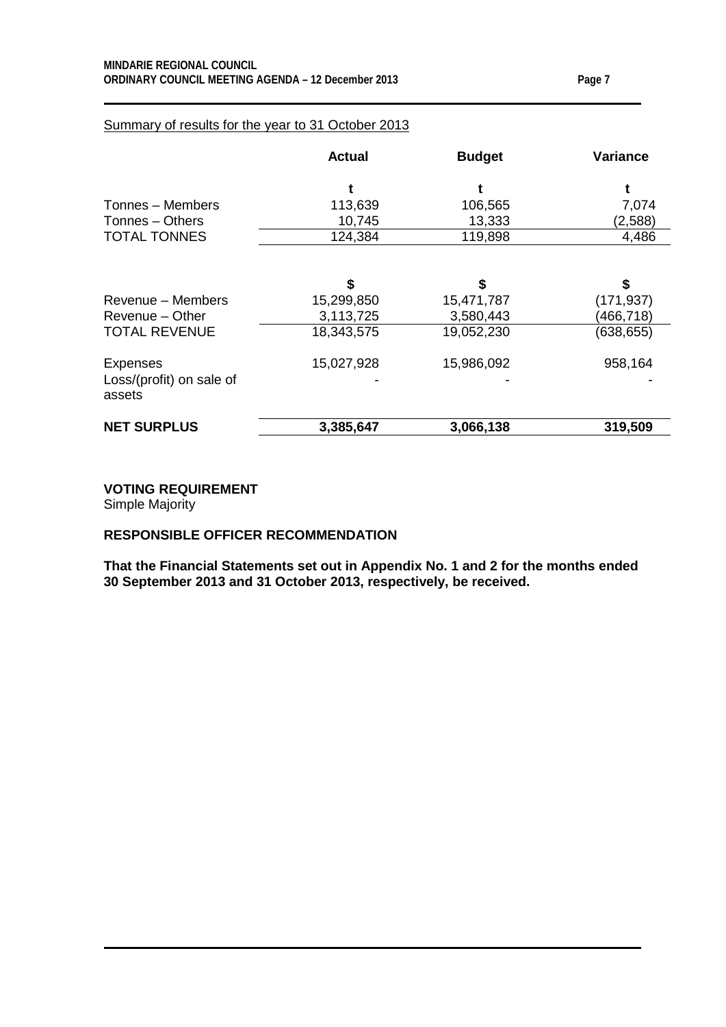#### Summary of results for the year to 31 October 2013

|                                                       | <b>Actual</b> | <b>Budget</b> | <b>Variance</b> |
|-------------------------------------------------------|---------------|---------------|-----------------|
|                                                       |               |               |                 |
| Tonnes – Members                                      | 113,639       | 106,565       | 7,074           |
| Tonnes - Others                                       | 10,745        | 13,333        | (2,588)         |
| <b>TOTAL TONNES</b>                                   | 124,384       | 119,898       | 4,486           |
|                                                       | \$            | S             | \$              |
| Revenue - Members                                     | 15,299,850    | 15,471,787    | (171, 937)      |
| Revenue – Other                                       | 3,113,725     | 3,580,443     | (466, 718)      |
| <b>TOTAL REVENUE</b>                                  | 18,343,575    | 19,052,230    | (638, 655)      |
| <b>Expenses</b><br>Loss/(profit) on sale of<br>assets | 15,027,928    | 15,986,092    | 958,164         |
| <b>NET SURPLUS</b>                                    | 3,385,647     | 3,066,138     | 319,509         |

**VOTING REQUIREMENT**

Simple Majority

#### **RESPONSIBLE OFFICER RECOMMENDATION**

**That the Financial Statements set out in Appendix No. 1 and 2 for the months ended 30 September 2013 and 31 October 2013, respectively, be received.**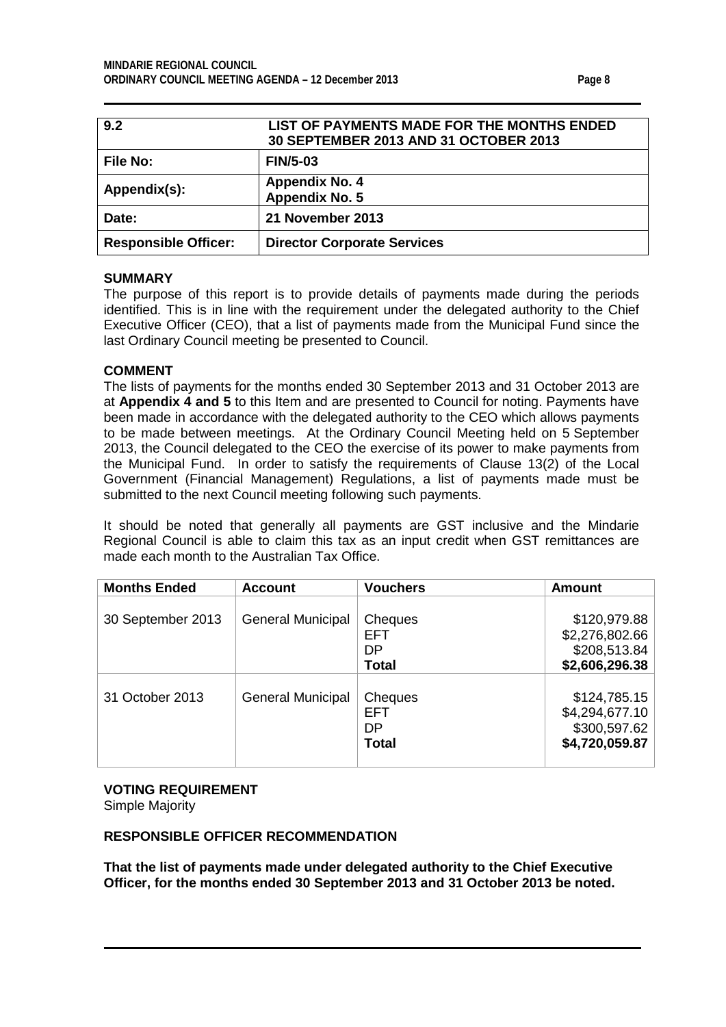<span id="page-7-0"></span>

| 9.2                         | LIST OF PAYMENTS MADE FOR THE MONTHS ENDED<br>30 SEPTEMBER 2013 AND 31 OCTOBER 2013 |
|-----------------------------|-------------------------------------------------------------------------------------|
| <b>File No:</b>             | <b>FIN/5-03</b>                                                                     |
| Appendix(s):                | <b>Appendix No. 4</b><br><b>Appendix No. 5</b>                                      |
| Date:                       | 21 November 2013                                                                    |
| <b>Responsible Officer:</b> | <b>Director Corporate Services</b>                                                  |

#### **SUMMARY**

The purpose of this report is to provide details of payments made during the periods identified. This is in line with the requirement under the delegated authority to the Chief Executive Officer (CEO), that a list of payments made from the Municipal Fund since the last Ordinary Council meeting be presented to Council.

#### **COMMENT**

The lists of payments for the months ended 30 September 2013 and 31 October 2013 are at **Appendix 4 and 5** to this Item and are presented to Council for noting. Payments have been made in accordance with the delegated authority to the CEO which allows payments to be made between meetings. At the Ordinary Council Meeting held on 5 September 2013, the Council delegated to the CEO the exercise of its power to make payments from the Municipal Fund. In order to satisfy the requirements of Clause 13(2) of the Local Government (Financial Management) Regulations, a list of payments made must be submitted to the next Council meeting following such payments.

It should be noted that generally all payments are GST inclusive and the Mindarie Regional Council is able to claim this tax as an input credit when GST remittances are made each month to the Australian Tax Office.

| <b>Months Ended</b> | <b>Account</b>           | <b>Vouchers</b>                             | <b>Amount</b>                                                    |
|---------------------|--------------------------|---------------------------------------------|------------------------------------------------------------------|
| 30 September 2013   | <b>General Municipal</b> | Cheques<br><b>EFT</b><br>DP<br><b>Total</b> | \$120,979.88<br>\$2,276,802.66<br>\$208,513.84<br>\$2,606,296.38 |
| 31 October 2013     | <b>General Municipal</b> | Cheques<br><b>EFT</b><br>DP<br><b>Total</b> | \$124,785.15<br>\$4,294,677.10<br>\$300,597.62<br>\$4,720,059.87 |

# **VOTING REQUIREMENT**

Simple Majority

#### **RESPONSIBLE OFFICER RECOMMENDATION**

**That the list of payments made under delegated authority to the Chief Executive Officer, for the months ended 30 September 2013 and 31 October 2013 be noted.**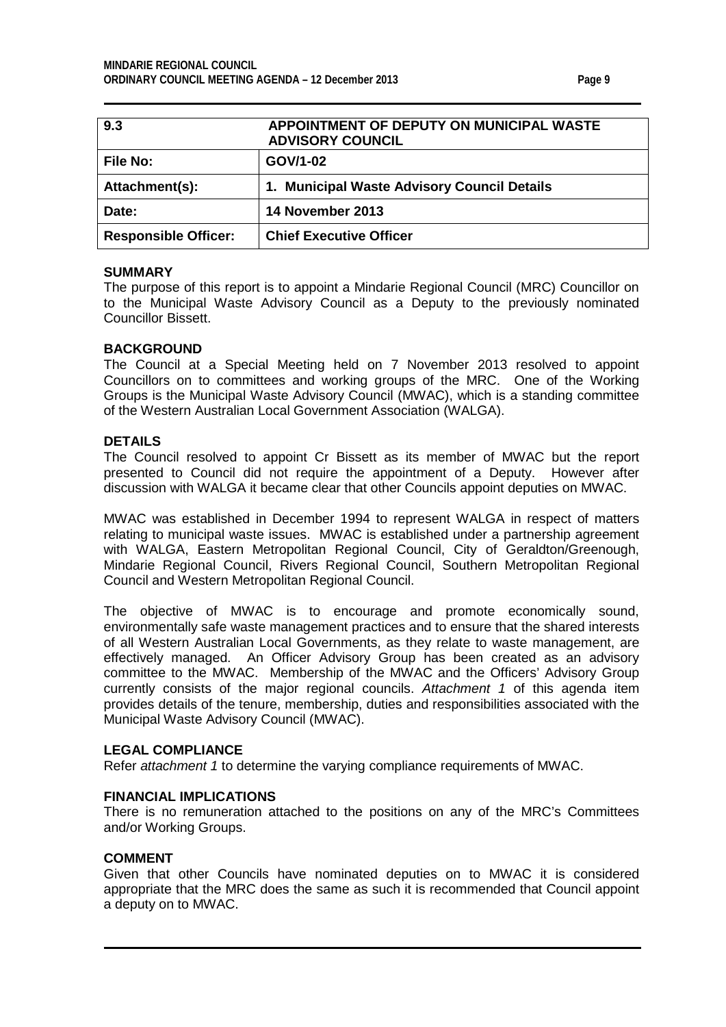<span id="page-8-0"></span>

| 9.3                         | APPOINTMENT OF DEPUTY ON MUNICIPAL WASTE<br><b>ADVISORY COUNCIL</b> |
|-----------------------------|---------------------------------------------------------------------|
| <b>File No:</b>             | GOV/1-02                                                            |
| Attachment(s):              | 1. Municipal Waste Advisory Council Details                         |
| Date:                       | 14 November 2013                                                    |
| <b>Responsible Officer:</b> | <b>Chief Executive Officer</b>                                      |

#### **SUMMARY**

The purpose of this report is to appoint a Mindarie Regional Council (MRC) Councillor on to the Municipal Waste Advisory Council as a Deputy to the previously nominated Councillor Bissett.

#### **BACKGROUND**

The Council at a Special Meeting held on 7 November 2013 resolved to appoint Councillors on to committees and working groups of the MRC. One of the Working Groups is the Municipal Waste Advisory Council (MWAC), which is a standing committee of the Western Australian Local Government Association (WALGA).

#### **DETAILS**

The Council resolved to appoint Cr Bissett as its member of MWAC but the report presented to Council did not require the appointment of a Deputy. However after discussion with WALGA it became clear that other Councils appoint deputies on MWAC.

MWAC was established in December 1994 to represent WALGA in respect of matters relating to municipal waste issues. MWAC is established under a partnership agreement with WALGA, Eastern Metropolitan Regional Council, City of Geraldton/Greenough, Mindarie Regional Council, Rivers Regional Council, Southern Metropolitan Regional Council and Western Metropolitan Regional Council.

The objective of MWAC is to encourage and promote economically sound, environmentally safe waste management practices and to ensure that the shared interests of all Western Australian Local Governments, as they relate to waste management, are effectively managed. An Officer Advisory Group has been created as an advisory committee to the MWAC. Membership of the MWAC and the Officers' Advisory Group currently consists of the major regional councils. *Attachment 1* of this agenda item provides details of the tenure, membership, duties and responsibilities associated with the Municipal Waste Advisory Council (MWAC).

#### **LEGAL COMPLIANCE**

Refer *attachment 1* to determine the varying compliance requirements of MWAC.

#### **FINANCIAL IMPLICATIONS**

There is no remuneration attached to the positions on any of the MRC's Committees and/or Working Groups.

#### **COMMENT**

Given that other Councils have nominated deputies on to MWAC it is considered appropriate that the MRC does the same as such it is recommended that Council appoint a deputy on to MWAC.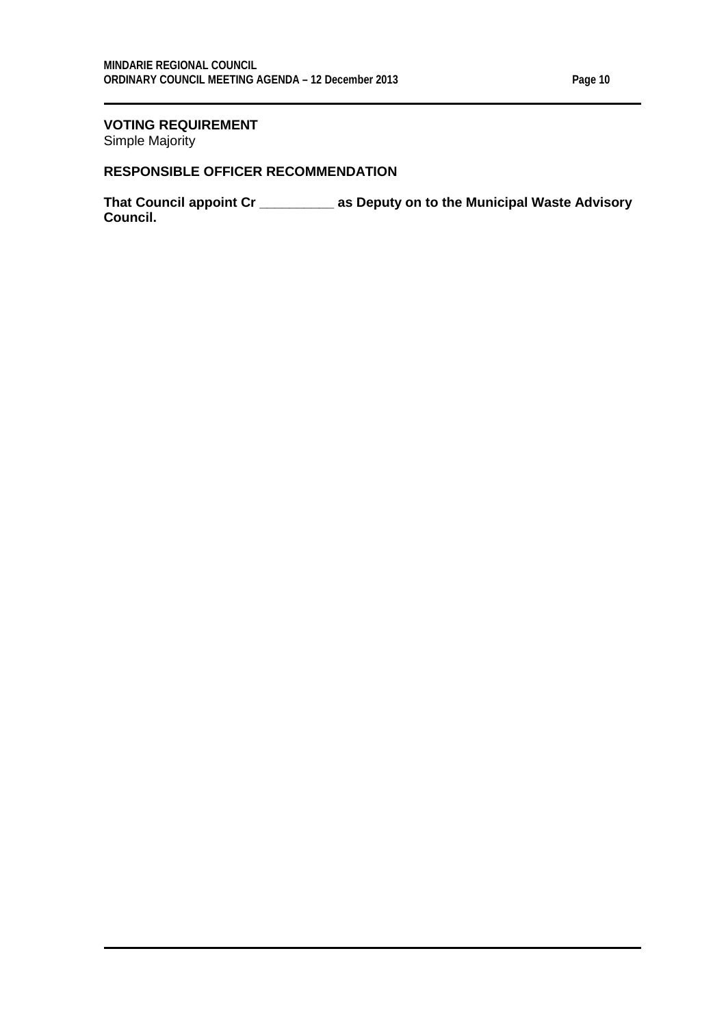#### **VOTING REQUIREMENT** Simple Majority

#### **RESPONSIBLE OFFICER RECOMMENDATION**

**That Council appoint Cr \_\_\_\_\_\_\_\_\_\_ as Deputy on to the Municipal Waste Advisory Council.**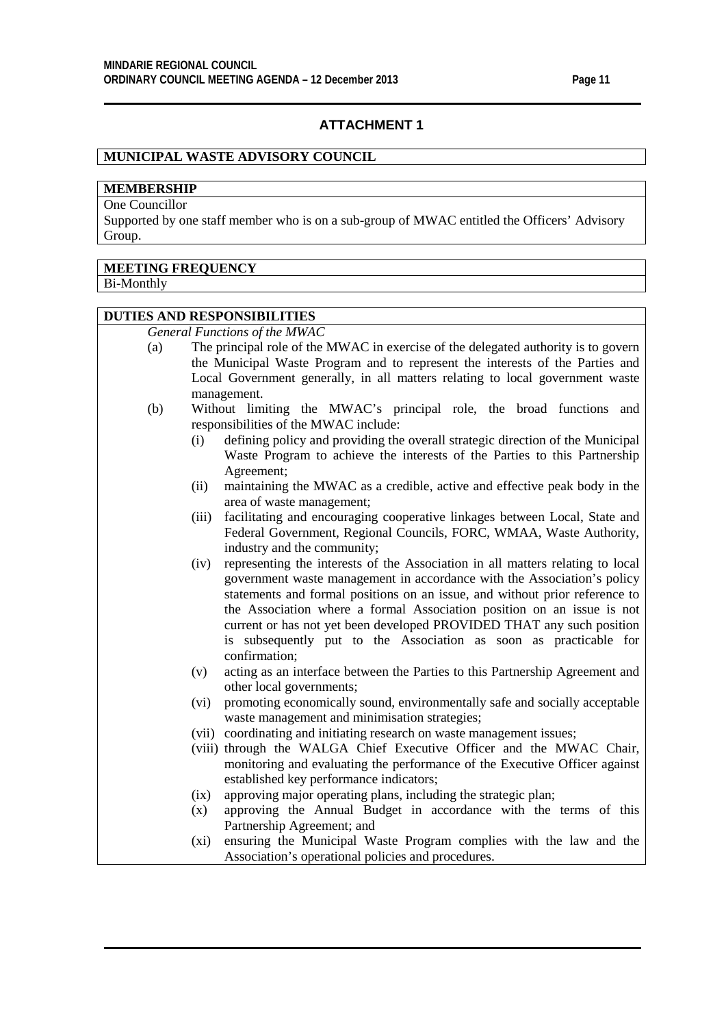#### **ATTACHMENT 1**

#### **MUNICIPAL WASTE ADVISORY COUNCIL**

### **MEMBERSHIP**

One Councillor

Supported by one staff member who is on a sub-group of MWAC entitled the Officers' Advisory Group.

#### **MEETING FREQUENCY**

Bi-Monthly

#### **DUTIES AND RESPONSIBILITIES**

*General Functions of the MWAC*

- (a) The principal role of the MWAC in exercise of the delegated authority is to govern the Municipal Waste Program and to represent the interests of the Parties and Local Government generally, in all matters relating to local government waste management.
- (b) Without limiting the MWAC's principal role, the broad functions and responsibilities of the MWAC include:
	- (i) defining policy and providing the overall strategic direction of the Municipal Waste Program to achieve the interests of the Parties to this Partnership Agreement;
	- (ii) maintaining the MWAC as a credible, active and effective peak body in the area of waste management;
	- (iii) facilitating and encouraging cooperative linkages between Local, State and Federal Government, Regional Councils, FORC, WMAA, Waste Authority, industry and the community;
	- (iv) representing the interests of the Association in all matters relating to local government waste management in accordance with the Association's policy statements and formal positions on an issue, and without prior reference to the Association where a formal Association position on an issue is not current or has not yet been developed PROVIDED THAT any such position is subsequently put to the Association as soon as practicable for confirmation;
	- (v) acting as an interface between the Parties to this Partnership Agreement and other local governments;
	- (vi) promoting economically sound, environmentally safe and socially acceptable waste management and minimisation strategies;
	- (vii) coordinating and initiating research on waste management issues;
	- (viii) through the WALGA Chief Executive Officer and the MWAC Chair, monitoring and evaluating the performance of the Executive Officer against established key performance indicators;
	- (ix) approving major operating plans, including the strategic plan;
	- (x) approving the Annual Budget in accordance with the terms of this Partnership Agreement; and
	- (xi) ensuring the Municipal Waste Program complies with the law and the Association's operational policies and procedures.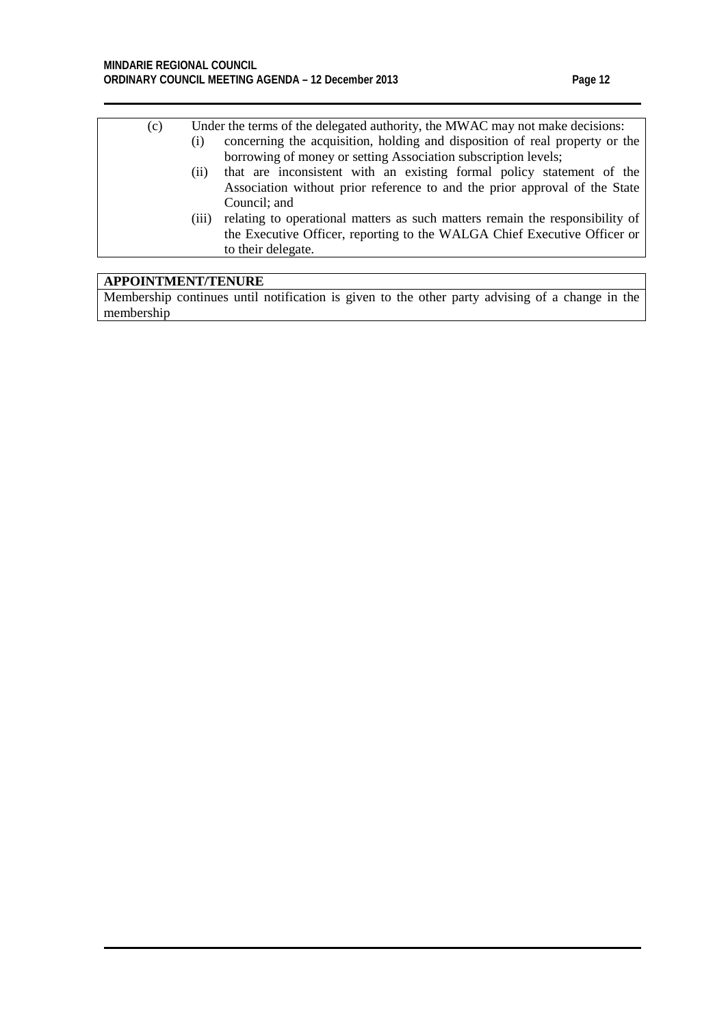- (c) Under the terms of the delegated authority, the MWAC may not make decisions:
	- (i) concerning the acquisition, holding and disposition of real property or the borrowing of money or setting Association subscription levels;
	- (ii) that are inconsistent with an existing formal policy statement of the Association without prior reference to and the prior approval of the State Council; and
	- (iii) relating to operational matters as such matters remain the responsibility of the Executive Officer, reporting to the WALGA Chief Executive Officer or to their delegate.

#### **APPOINTMENT/TENURE**

Membership continues until notification is given to the other party advising of a change in the membership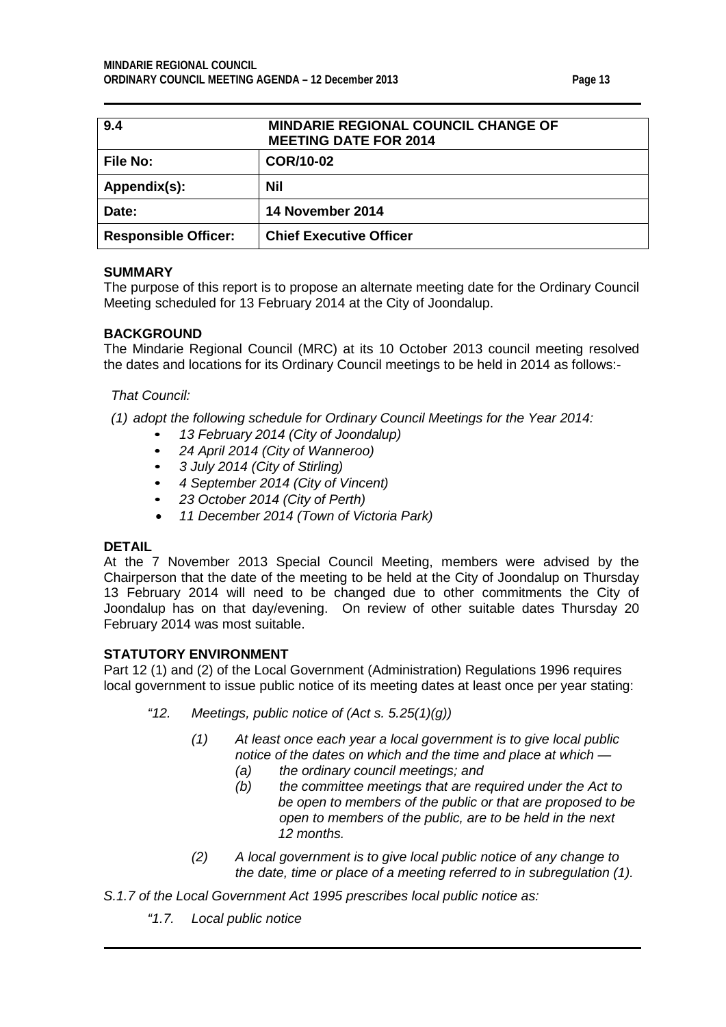<span id="page-12-0"></span>

| 9.4                         | <b>MINDARIE REGIONAL COUNCIL CHANGE OF</b><br><b>MEETING DATE FOR 2014</b> |
|-----------------------------|----------------------------------------------------------------------------|
| <b>File No:</b>             | COR/10-02                                                                  |
| Appendix(s):                | Nil                                                                        |
| Date:                       | 14 November 2014                                                           |
| <b>Responsible Officer:</b> | <b>Chief Executive Officer</b>                                             |

#### **SUMMARY**

The purpose of this report is to propose an alternate meeting date for the Ordinary Council Meeting scheduled for 13 February 2014 at the City of Joondalup.

#### **BACKGROUND**

The Mindarie Regional Council (MRC) at its 10 October 2013 council meeting resolved the dates and locations for its Ordinary Council meetings to be held in 2014 as follows:-

#### *That Council:*

*(1) adopt the following schedule for Ordinary Council Meetings for the Year 2014:*

- *• 13 February 2014 (City of Joondalup)*
- *• 24 April 2014 (City of Wanneroo)*
- *• 3 July 2014 (City of Stirling)*
- *• 4 September 2014 (City of Vincent)*
- *• 23 October 2014 (City of Perth)*
- *11 December 2014 (Town of Victoria Park)*

#### **DETAIL**

At the 7 November 2013 Special Council Meeting, members were advised by the Chairperson that the date of the meeting to be held at the City of Joondalup on Thursday 13 February 2014 will need to be changed due to other commitments the City of Joondalup has on that day/evening. On review of other suitable dates Thursday 20 February 2014 was most suitable.

#### **STATUTORY ENVIRONMENT**

Part 12 (1) and (2) of the Local Government (Administration) Regulations 1996 requires local government to issue public notice of its meeting dates at least once per year stating:

- *"12. Meetings, public notice of (Act s. 5.25(1)(g))*
	- *(1) At least once each year a local government is to give local public notice of the dates on which and the time and place at which —*
		- *(a) the ordinary council meetings; and*
		- *(b) the committee meetings that are required under the Act to be open to members of the public or that are proposed to be open to members of the public, are to be held in the next 12 months.*
	- *(2) A local government is to give local public notice of any change to the date, time or place of a meeting referred to in subregulation (1).*
- *S.1.7 of the Local Government Act 1995 prescribes local public notice as:* 
	- *"1.7. Local public notice*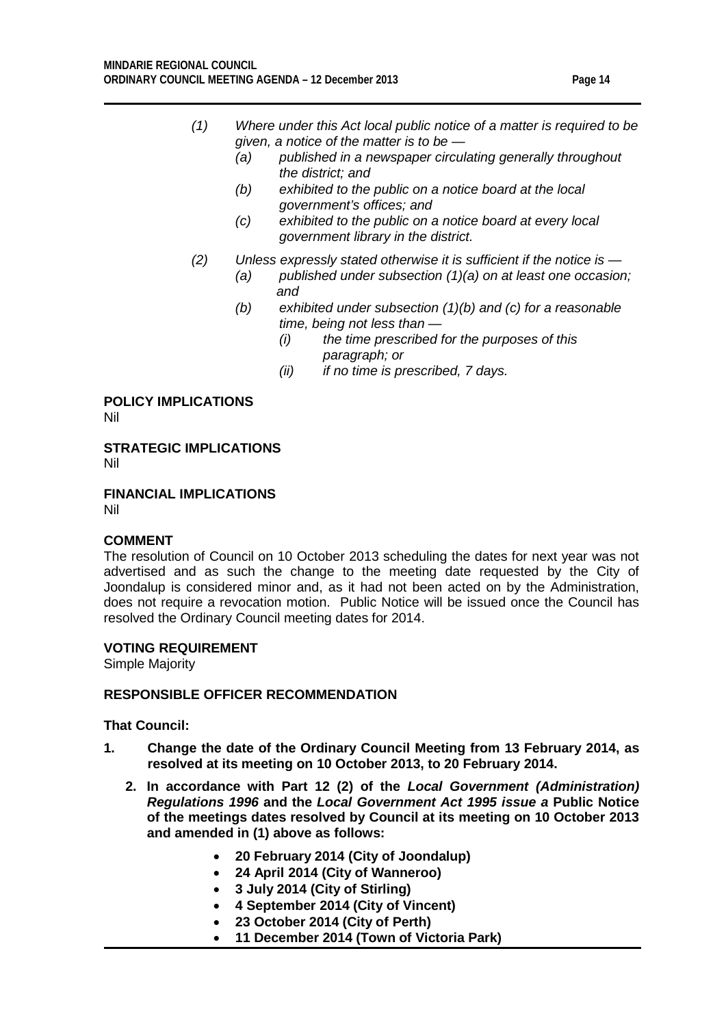- *(1) Where under this Act local public notice of a matter is required to be given, a notice of the matter is to be —*
	- *(a) published in a newspaper circulating generally throughout the district; and*
	- *(b) exhibited to the public on a notice board at the local government's offices; and*
	- *(c) exhibited to the public on a notice board at every local government library in the district.*
- *(2) Unless expressly stated otherwise it is sufficient if the notice is —*
	- *(a) published under subsection (1)(a) on at least one occasion; and*
	- *(b) exhibited under subsection (1)(b) and (c) for a reasonable time, being not less than —*
		- *(i) the time prescribed for the purposes of this paragraph; or*
		- *(ii) if no time is prescribed, 7 days.*

## **POLICY IMPLICATIONS**

Nil

**STRATEGIC IMPLICATIONS** Nil

**FINANCIAL IMPLICATIONS**

Nil

#### **COMMENT**

The resolution of Council on 10 October 2013 scheduling the dates for next year was not advertised and as such the change to the meeting date requested by the City of Joondalup is considered minor and, as it had not been acted on by the Administration, does not require a revocation motion. Public Notice will be issued once the Council has resolved the Ordinary Council meeting dates for 2014.

#### **VOTING REQUIREMENT**

Simple Majority

#### **RESPONSIBLE OFFICER RECOMMENDATION**

#### **That Council:**

- **1. Change the date of the Ordinary Council Meeting from 13 February 2014, as resolved at its meeting on 10 October 2013, to 20 February 2014.**
	- **2. In accordance with Part 12 (2) of the** *Local Government (Administration) Regulations 1996* **and the** *Local Government Act 1995 issue a* **Public Notice of the meetings dates resolved by Council at its meeting on 10 October 2013 and amended in (1) above as follows:**
		- **20 February 2014 (City of Joondalup)**
		- **24 April 2014 (City of Wanneroo)**
		- **3 July 2014 (City of Stirling)**
		- **4 September 2014 (City of Vincent)**
		- **23 October 2014 (City of Perth)**
		- **11 December 2014 (Town of Victoria Park)**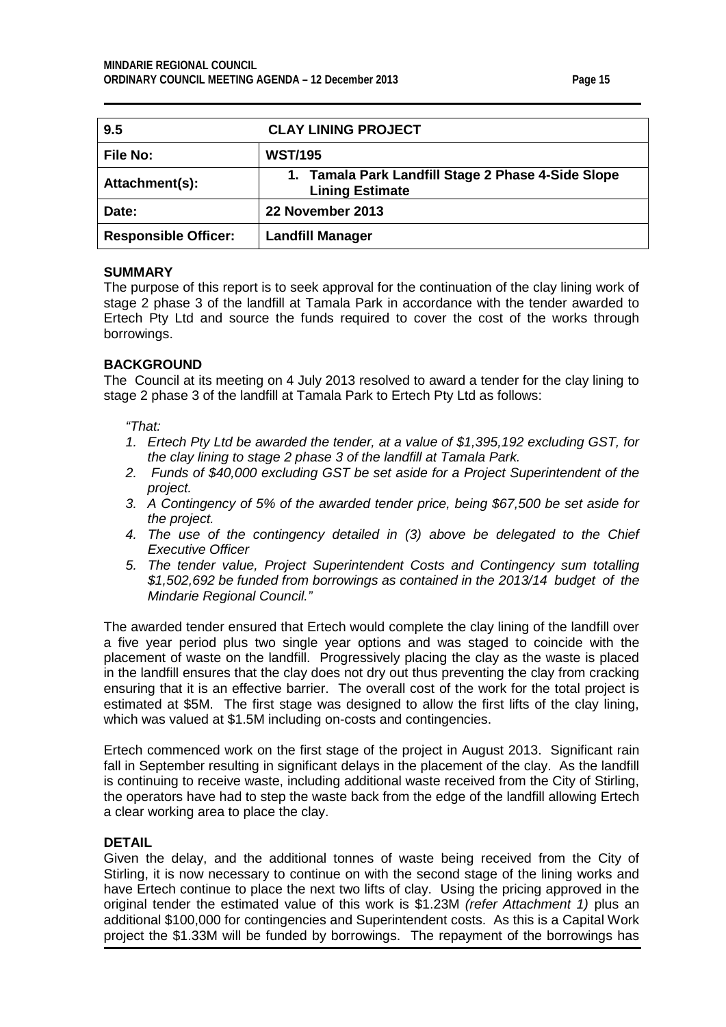| с<br>ı<br>г. |  |
|--------------|--|
|--------------|--|

<span id="page-14-0"></span>

| 9.5                         | <b>CLAY LINING PROJECT</b>                                                   |  |
|-----------------------------|------------------------------------------------------------------------------|--|
| <b>File No:</b>             | <b>WST/195</b>                                                               |  |
| Attachment(s):              | 1. Tamala Park Landfill Stage 2 Phase 4-Side Slope<br><b>Lining Estimate</b> |  |
| Date:                       | 22 November 2013                                                             |  |
| <b>Responsible Officer:</b> | <b>Landfill Manager</b>                                                      |  |

#### **SUMMARY**

The purpose of this report is to seek approval for the continuation of the clay lining work of stage 2 phase 3 of the landfill at Tamala Park in accordance with the tender awarded to Ertech Pty Ltd and source the funds required to cover the cost of the works through borrowings.

#### **BACKGROUND**

The Council at its meeting on 4 July 2013 resolved to award a tender for the clay lining to stage 2 phase 3 of the landfill at Tamala Park to Ertech Pty Ltd as follows:

*"That:*

- *1. Ertech Pty Ltd be awarded the tender, at a value of \$1,395,192 excluding GST, for the clay lining to stage 2 phase 3 of the landfill at Tamala Park.*
- *2. Funds of \$40,000 excluding GST be set aside for a Project Superintendent of the project.*
- *3. A Contingency of 5% of the awarded tender price, being \$67,500 be set aside for the project.*
- *4. The use of the contingency detailed in (3) above be delegated to the Chief Executive Officer*
- *5. The tender value, Project Superintendent Costs and Contingency sum totalling \$1,502,692 be funded from borrowings as contained in the 2013/14 budget of the Mindarie Regional Council."*

The awarded tender ensured that Ertech would complete the clay lining of the landfill over a five year period plus two single year options and was staged to coincide with the placement of waste on the landfill. Progressively placing the clay as the waste is placed in the landfill ensures that the clay does not dry out thus preventing the clay from cracking ensuring that it is an effective barrier. The overall cost of the work for the total project is estimated at \$5M. The first stage was designed to allow the first lifts of the clay lining, which was valued at \$1.5M including on-costs and contingencies.

Ertech commenced work on the first stage of the project in August 2013. Significant rain fall in September resulting in significant delays in the placement of the clay. As the landfill is continuing to receive waste, including additional waste received from the City of Stirling, the operators have had to step the waste back from the edge of the landfill allowing Ertech a clear working area to place the clay.

#### **DETAIL**

Given the delay, and the additional tonnes of waste being received from the City of Stirling, it is now necessary to continue on with the second stage of the lining works and have Ertech continue to place the next two lifts of clay. Using the pricing approved in the original tender the estimated value of this work is \$1.23M *(refer Attachment 1)* plus an additional \$100,000 for contingencies and Superintendent costs. As this is a Capital Work project the \$1.33M will be funded by borrowings. The repayment of the borrowings has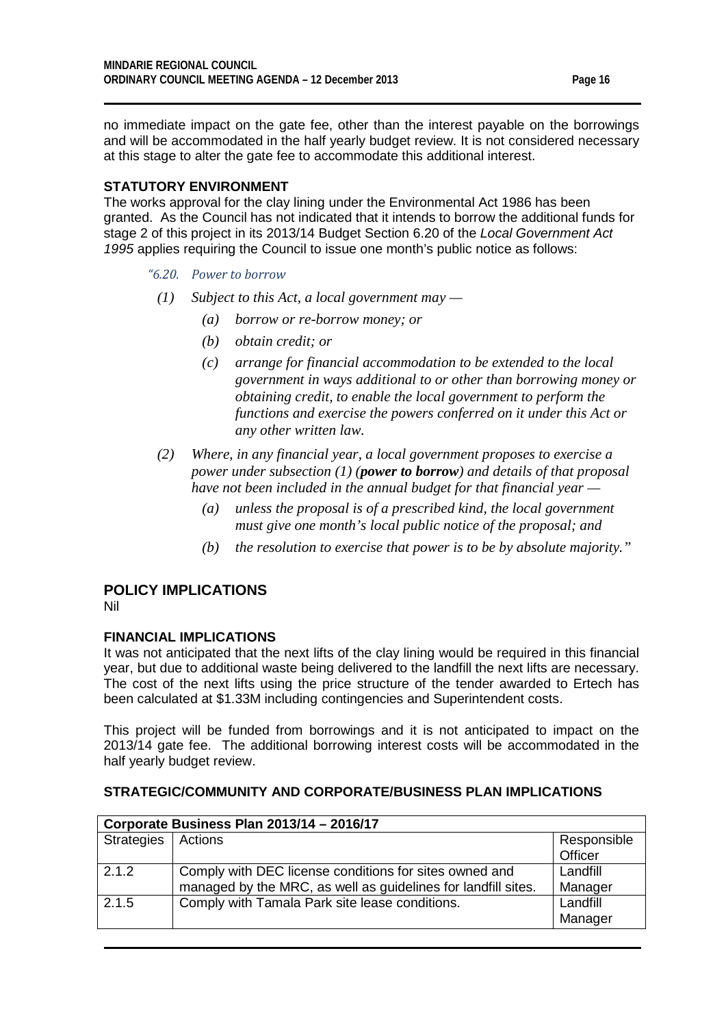no immediate impact on the gate fee, other than the interest payable on the borrowings and will be accommodated in the half yearly budget review. It is not considered necessary at this stage to alter the gate fee to accommodate this additional interest.

#### **STATUTORY ENVIRONMENT**

The works approval for the clay lining under the Environmental Act 1986 has been granted. As the Council has not indicated that it intends to borrow the additional funds for stage 2 of this project in its 2013/14 Budget Section 6.20 of the *Local Government Act 1995* applies requiring the Council to issue one month's public notice as follows:

*"6.20. Power to borrow*

- *(1) Subject to this Act, a local government may —*
	- *(a) borrow or re-borrow money; or*
	- *(b) obtain credit; or*
	- *(c) arrange for financial accommodation to be extended to the local government in ways additional to or other than borrowing money or obtaining credit, to enable the local government to perform the functions and exercise the powers conferred on it under this Act or any other written law.*
- *(2) Where, in any financial year, a local government proposes to exercise a power under subsection (1) (power to borrow) and details of that proposal have not been included in the annual budget for that financial year —*
	- *(a) unless the proposal is of a prescribed kind, the local government must give one month's local public notice of the proposal; and*
	- *(b) the resolution to exercise that power is to be by absolute majority."*

### **POLICY IMPLICATIONS**

Nil

#### **FINANCIAL IMPLICATIONS**

It was not anticipated that the next lifts of the clay lining would be required in this financial year, but due to additional waste being delivered to the landfill the next lifts are necessary. The cost of the next lifts using the price structure of the tender awarded to Ertech has been calculated at \$1.33M including contingencies and Superintendent costs.

This project will be funded from borrowings and it is not anticipated to impact on the 2013/14 gate fee. The additional borrowing interest costs will be accommodated in the half yearly budget review.

| Corporate Business Plan 2013/14 - 2016/17 |                                                               |             |  |
|-------------------------------------------|---------------------------------------------------------------|-------------|--|
| Strategies                                | <b>Actions</b>                                                | Responsible |  |
|                                           |                                                               | Officer     |  |
| 2.1.2                                     | Comply with DEC license conditions for sites owned and        | Landfill    |  |
|                                           | managed by the MRC, as well as guidelines for landfill sites. | Manager     |  |
| 2.1.5                                     | Comply with Tamala Park site lease conditions.                | Landfill    |  |
|                                           |                                                               | Manager     |  |

#### **STRATEGIC/COMMUNITY AND CORPORATE/BUSINESS PLAN IMPLICATIONS**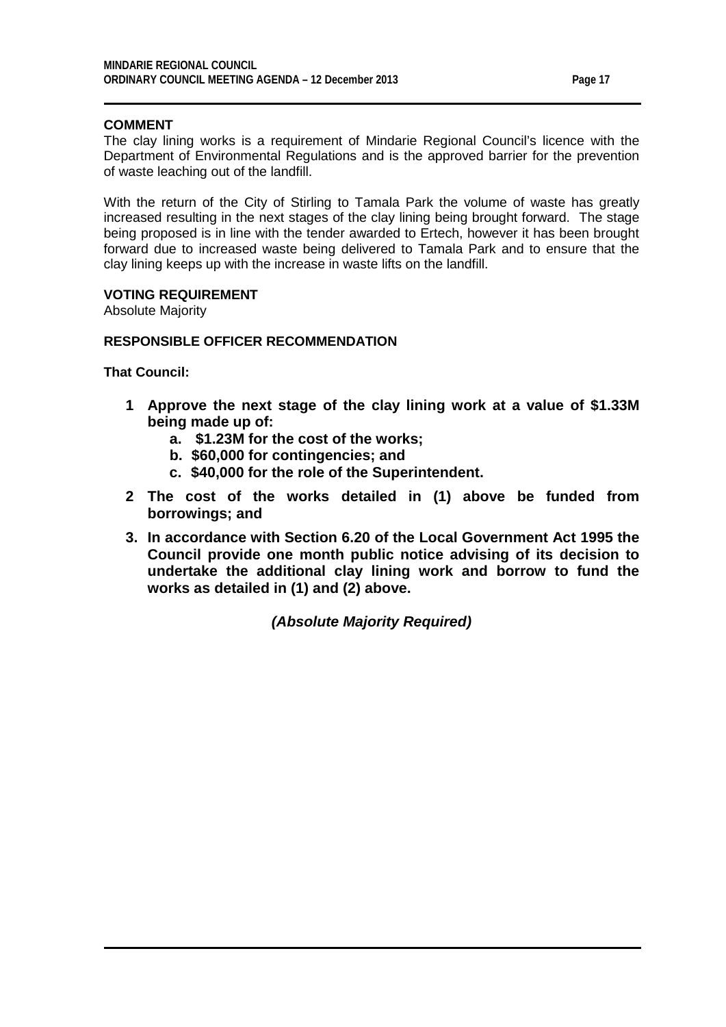#### **COMMENT**

The clay lining works is a requirement of Mindarie Regional Council's licence with the Department of Environmental Regulations and is the approved barrier for the prevention of waste leaching out of the landfill.

With the return of the City of Stirling to Tamala Park the volume of waste has greatly increased resulting in the next stages of the clay lining being brought forward. The stage being proposed is in line with the tender awarded to Ertech, however it has been brought forward due to increased waste being delivered to Tamala Park and to ensure that the clay lining keeps up with the increase in waste lifts on the landfill.

#### **VOTING REQUIREMENT**

Absolute Majority

#### **RESPONSIBLE OFFICER RECOMMENDATION**

**That Council:**

- **1 Approve the next stage of the clay lining work at a value of \$1.33M being made up of:**
	- **a. \$1.23M for the cost of the works;**
	- **b. \$60,000 for contingencies; and**
	- **c. \$40,000 for the role of the Superintendent.**
- **2 The cost of the works detailed in (1) above be funded from borrowings; and**
- **3. In accordance with Section 6.20 of the Local Government Act 1995 the Council provide one month public notice advising of its decision to undertake the additional clay lining work and borrow to fund the works as detailed in (1) and (2) above.**

*(Absolute Majority Required)*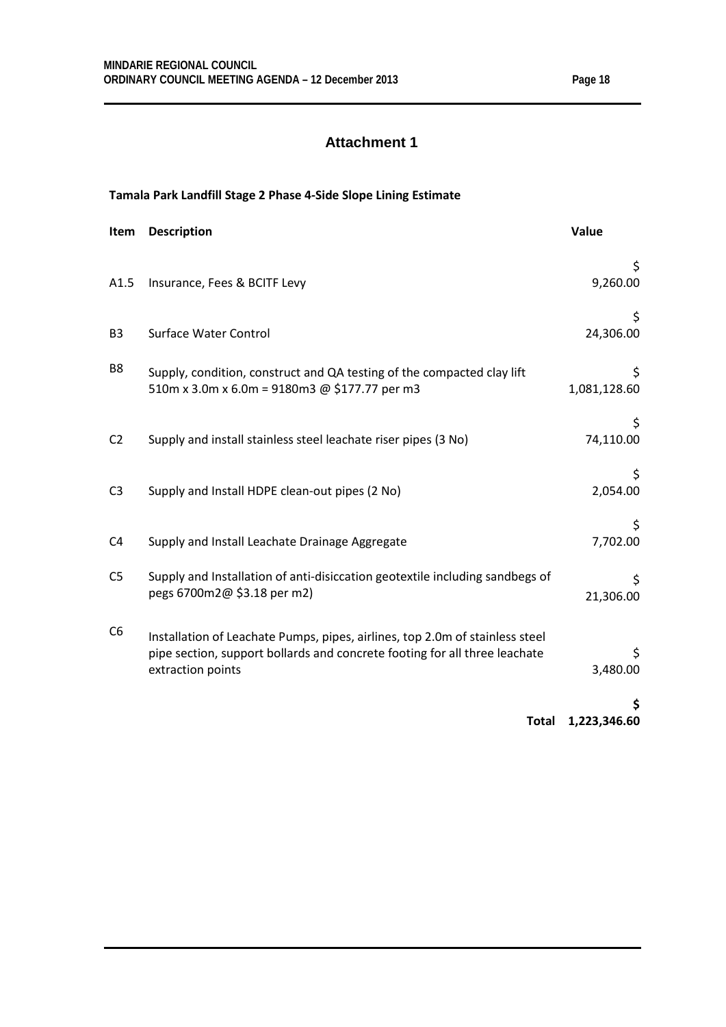### **Attachment 1**

### **Tamala Park Landfill Stage 2 Phase 4-Side Slope Lining Estimate**

| Item           | <b>Description</b>                                                                                                                                                              | Value              |
|----------------|---------------------------------------------------------------------------------------------------------------------------------------------------------------------------------|--------------------|
| A1.5           | Insurance, Fees & BCITF Levy                                                                                                                                                    | \$<br>9,260.00     |
| B <sub>3</sub> | <b>Surface Water Control</b>                                                                                                                                                    | 24,306.00          |
| B8             | Supply, condition, construct and QA testing of the compacted clay lift<br>510m x 3.0m x 6.0m = 9180m3 @ \$177.77 per m3                                                         | \$<br>1,081,128.60 |
| C <sub>2</sub> | Supply and install stainless steel leachate riser pipes (3 No)                                                                                                                  | Ş.<br>74,110.00    |
| C <sub>3</sub> | Supply and Install HDPE clean-out pipes (2 No)                                                                                                                                  | \$.<br>2,054.00    |
| C <sub>4</sub> | Supply and Install Leachate Drainage Aggregate                                                                                                                                  | S<br>7,702.00      |
| C <sub>5</sub> | Supply and Installation of anti-disiccation geotextile including sandbegs of<br>pegs 6700m2@ \$3.18 per m2)                                                                     | \$<br>21,306.00    |
| C <sub>6</sub> | Installation of Leachate Pumps, pipes, airlines, top 2.0m of stainless steel<br>pipe section, support bollards and concrete footing for all three leachate<br>extraction points | Ş.<br>3,480.00     |
|                | <b>Total</b>                                                                                                                                                                    | S<br>1,223,346.60  |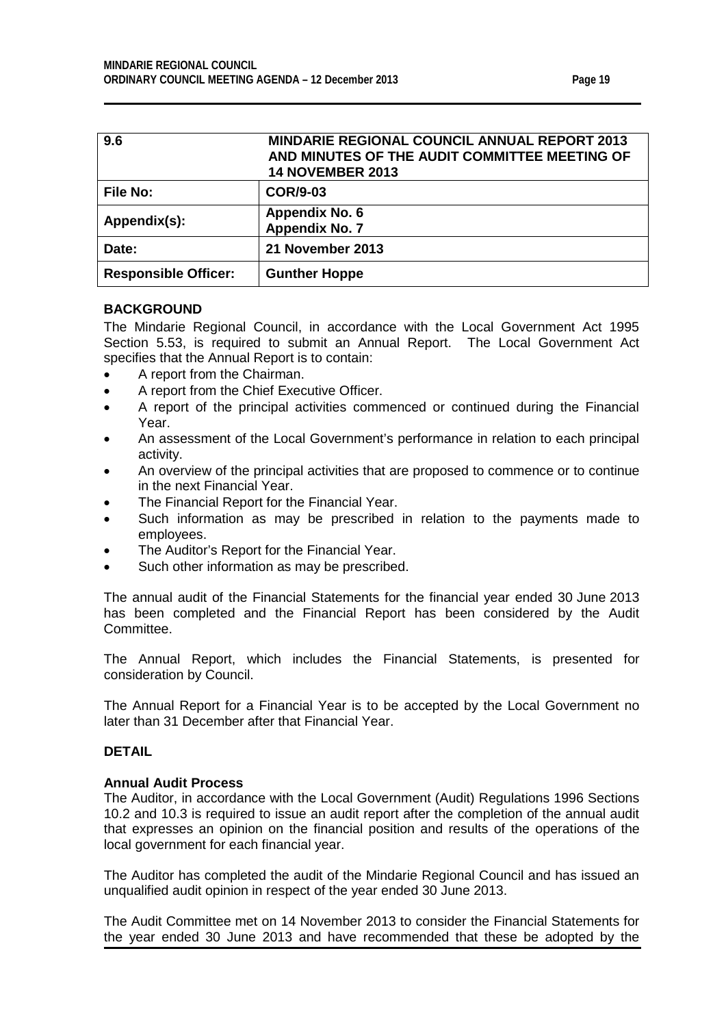| Ю<br>۵<br>я |  |
|-------------|--|
|-------------|--|

<span id="page-18-0"></span>

| 9.6                         | <b>MINDARIE REGIONAL COUNCIL ANNUAL REPORT 2013</b><br>AND MINUTES OF THE AUDIT COMMITTEE MEETING OF<br><b>14 NOVEMBER 2013</b> |
|-----------------------------|---------------------------------------------------------------------------------------------------------------------------------|
| <b>File No:</b>             | <b>COR/9-03</b>                                                                                                                 |
| Appendix(s):                | <b>Appendix No. 6</b><br><b>Appendix No. 7</b>                                                                                  |
| Date:                       | 21 November 2013                                                                                                                |
| <b>Responsible Officer:</b> | <b>Gunther Hoppe</b>                                                                                                            |

#### **BACKGROUND**

The Mindarie Regional Council, in accordance with the Local Government Act 1995 Section 5.53, is required to submit an Annual Report. The Local Government Act specifies that the Annual Report is to contain:

- A report from the Chairman.
- A report from the Chief Executive Officer.
- A report of the principal activities commenced or continued during the Financial Year.
- An assessment of the Local Government's performance in relation to each principal activity.
- An overview of the principal activities that are proposed to commence or to continue in the next Financial Year.
- The Financial Report for the Financial Year.
- Such information as may be prescribed in relation to the payments made to employees.
- The Auditor's Report for the Financial Year.
- Such other information as may be prescribed.

The annual audit of the Financial Statements for the financial year ended 30 June 2013 has been completed and the Financial Report has been considered by the Audit Committee.

The Annual Report, which includes the Financial Statements, is presented for consideration by Council.

The Annual Report for a Financial Year is to be accepted by the Local Government no later than 31 December after that Financial Year.

#### **DETAIL**

#### **Annual Audit Process**

The Auditor, in accordance with the Local Government (Audit) Regulations 1996 Sections 10.2 and 10.3 is required to issue an audit report after the completion of the annual audit that expresses an opinion on the financial position and results of the operations of the local government for each financial year.

The Auditor has completed the audit of the Mindarie Regional Council and has issued an unqualified audit opinion in respect of the year ended 30 June 2013.

The Audit Committee met on 14 November 2013 to consider the Financial Statements for the year ended 30 June 2013 and have recommended that these be adopted by the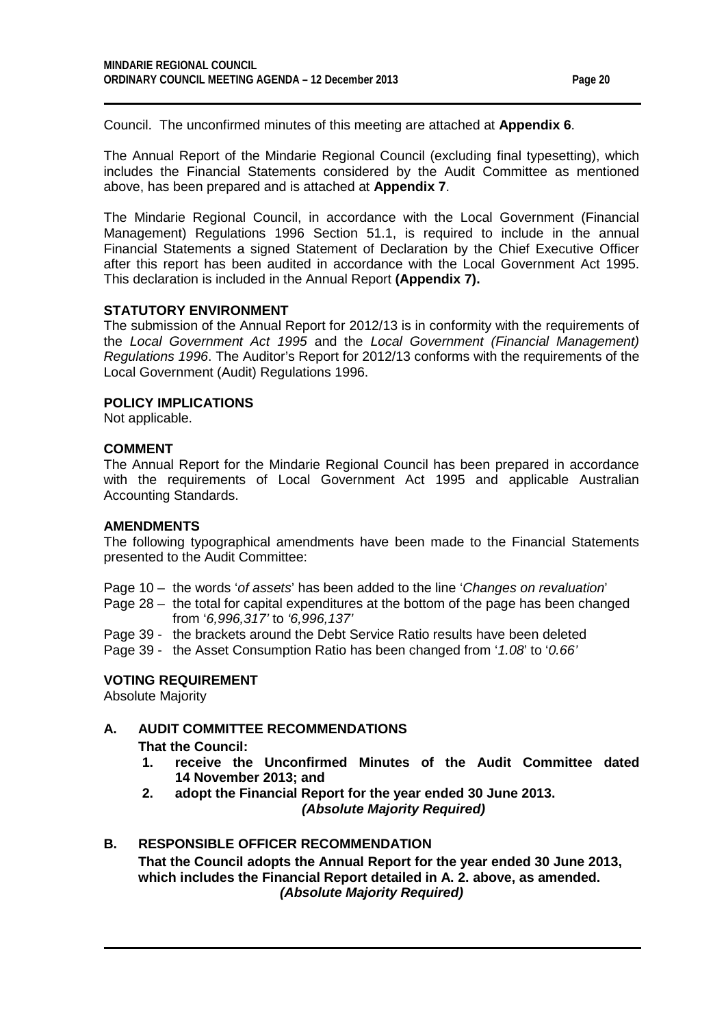Council. The unconfirmed minutes of this meeting are attached at **Appendix 6**.

The Annual Report of the Mindarie Regional Council (excluding final typesetting), which includes the Financial Statements considered by the Audit Committee as mentioned above, has been prepared and is attached at **Appendix 7**.

The Mindarie Regional Council, in accordance with the Local Government (Financial Management) Regulations 1996 Section 51.1, is required to include in the annual Financial Statements a signed Statement of Declaration by the Chief Executive Officer after this report has been audited in accordance with the Local Government Act 1995. This declaration is included in the Annual Report **(Appendix 7).**

#### **STATUTORY ENVIRONMENT**

The submission of the Annual Report for 2012/13 is in conformity with the requirements of the *Local Government Act 1995* and the *Local Government (Financial Management) Regulations 1996*. The Auditor's Report for 2012/13 conforms with the requirements of the Local Government (Audit) Regulations 1996.

#### **POLICY IMPLICATIONS**

Not applicable.

#### **COMMENT**

The Annual Report for the Mindarie Regional Council has been prepared in accordance with the requirements of Local Government Act 1995 and applicable Australian Accounting Standards.

#### **AMENDMENTS**

The following typographical amendments have been made to the Financial Statements presented to the Audit Committee:

- Page 10 the words '*of assets*' has been added to the line '*Changes on revaluation*'
- Page 28 the total for capital expenditures at the bottom of the page has been changed from '*6,996,317'* to *'6,996,137'*
- Page 39 the brackets around the Debt Service Ratio results have been deleted
- Page 39 the Asset Consumption Ratio has been changed from '*1.08*' to '*0.66'*

#### **VOTING REQUIREMENT**

Absolute Majority

#### **A. AUDIT COMMITTEE RECOMMENDATIONS**

**That the Council:**

- **1. receive the Unconfirmed Minutes of the Audit Committee dated 14 November 2013; and**
- **2. adopt the Financial Report for the year ended 30 June 2013.**

*(Absolute Majority Required)*

#### **B. RESPONSIBLE OFFICER RECOMMENDATION**

**That the Council adopts the Annual Report for the year ended 30 June 2013, which includes the Financial Report detailed in A. 2. above, as amended.** *(Absolute Majority Required)*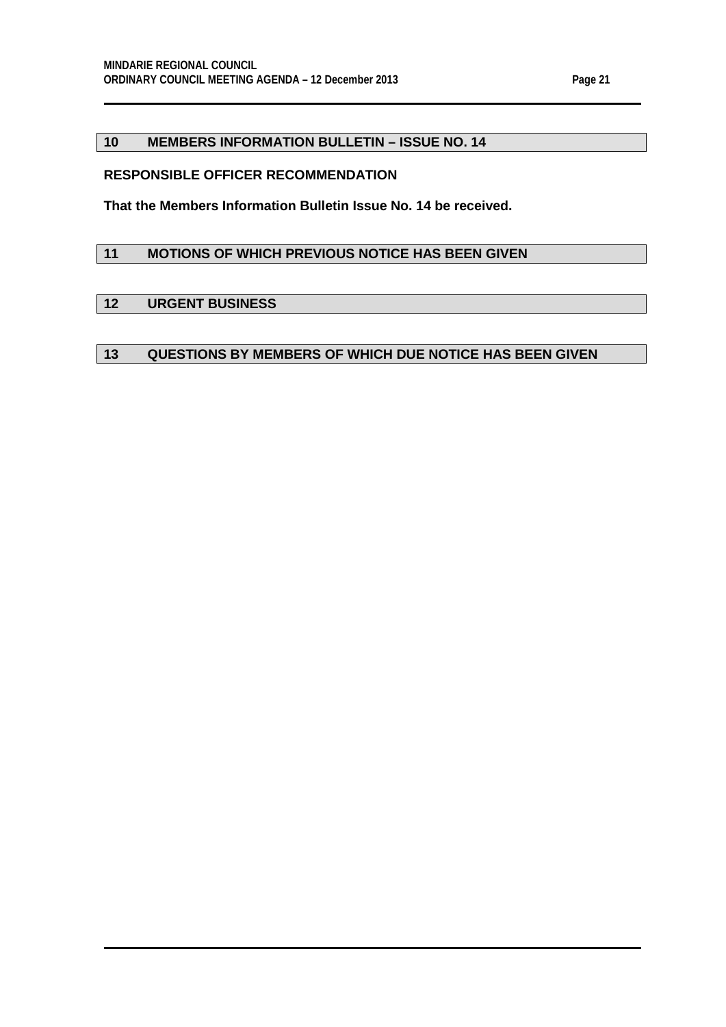#### <span id="page-20-0"></span>**10 MEMBERS INFORMATION BULLETIN – ISSUE NO. 14**

#### **RESPONSIBLE OFFICER RECOMMENDATION**

**That the Members Information Bulletin Issue No. 14 be received.**

#### <span id="page-20-1"></span>**11 MOTIONS OF WHICH PREVIOUS NOTICE HAS BEEN GIVEN**

#### <span id="page-20-2"></span>**12 URGENT BUSINESS**

#### <span id="page-20-3"></span>**13 QUESTIONS BY MEMBERS OF WHICH DUE NOTICE HAS BEEN GIVEN**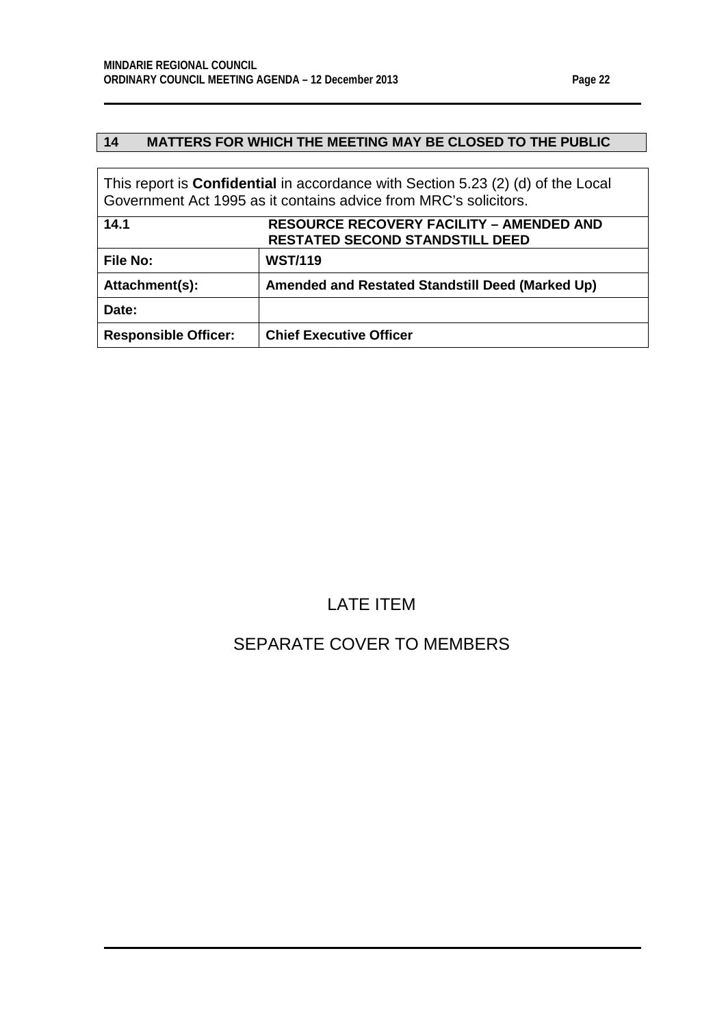$\Gamma$ 

## <span id="page-21-0"></span>**14 MATTERS FOR WHICH THE MEETING MAY BE CLOSED TO THE PUBLIC**

<span id="page-21-1"></span>

| This report is <b>Confidential</b> in accordance with Section 5.23 (2) (d) of the Local<br>Government Act 1995 as it contains advice from MRC's solicitors. |                                                  |  |
|-------------------------------------------------------------------------------------------------------------------------------------------------------------|--------------------------------------------------|--|
| 14.1                                                                                                                                                        | <b>RESOURCE RECOVERY FACILITY – AMENDED AND</b>  |  |
|                                                                                                                                                             | <b>RESTATED SECOND STANDSTILL DEED</b>           |  |
| <b>File No:</b>                                                                                                                                             | <b>WST/119</b>                                   |  |
| Attachment(s):                                                                                                                                              | Amended and Restated Standstill Deed (Marked Up) |  |
| Date:                                                                                                                                                       |                                                  |  |
| <b>Responsible Officer:</b>                                                                                                                                 | <b>Chief Executive Officer</b>                   |  |

## LATE ITEM

## SEPARATE COVER TO MEMBERS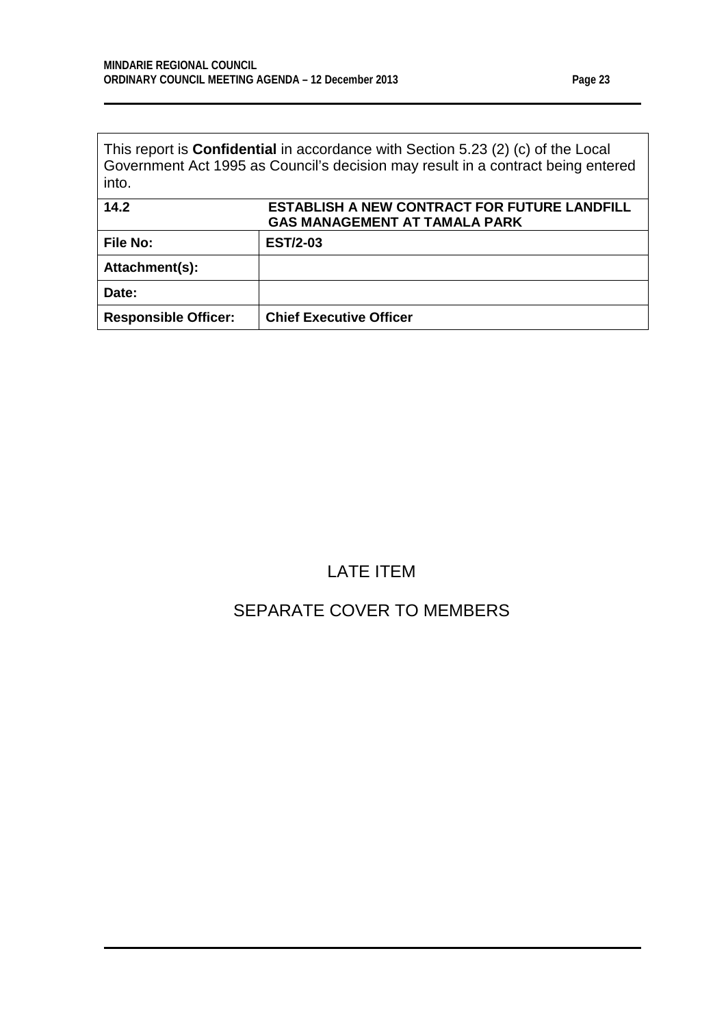This report is **Confidential** in accordance with Section 5.23 (2) (c) of the Local Government Act 1995 as Council's decision may result in a contract being entered into.

<span id="page-22-0"></span>

| 14.2                        | <b>ESTABLISH A NEW CONTRACT FOR FUTURE LANDFILL</b><br><b>GAS MANAGEMENT AT TAMALA PARK</b> |
|-----------------------------|---------------------------------------------------------------------------------------------|
| <b>File No:</b>             | <b>EST/2-03</b>                                                                             |
| Attachment(s):              |                                                                                             |
| Date:                       |                                                                                             |
| <b>Responsible Officer:</b> | <b>Chief Executive Officer</b>                                                              |

## LATE ITEM

## SEPARATE COVER TO MEMBERS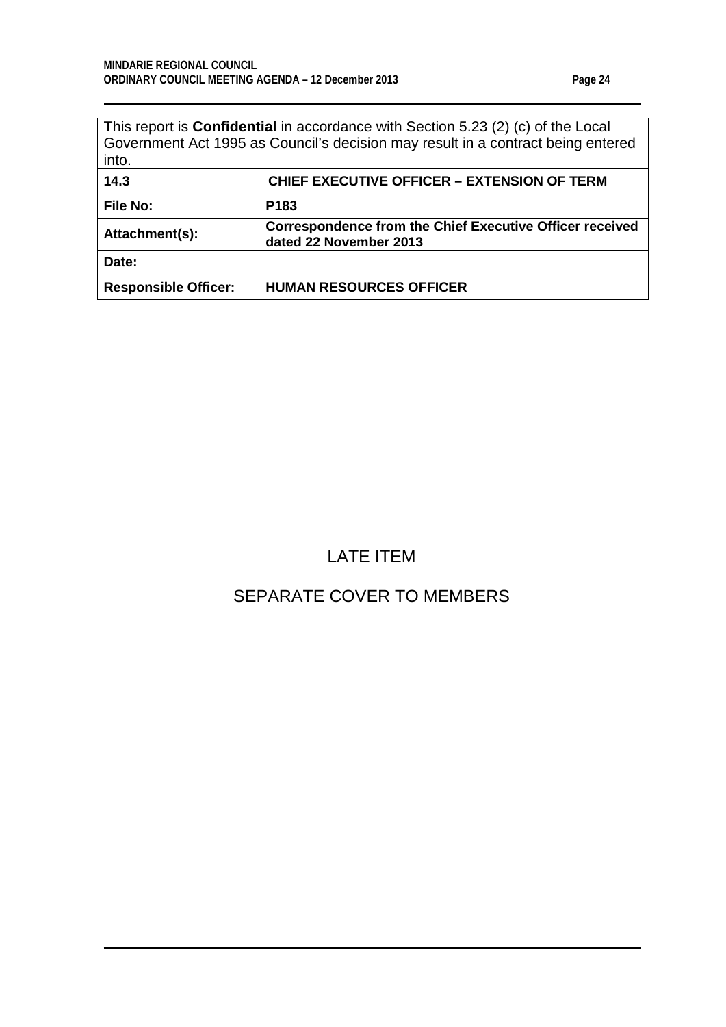| This report is <b>Confidential</b> in accordance with Section 5.23 (2) (c) of the Local |
|-----------------------------------------------------------------------------------------|
| Government Act 1995 as Council's decision may result in a contract being entered        |
| into.                                                                                   |

<span id="page-23-0"></span>

| 14.3                        | <b>CHIEF EXECUTIVE OFFICER - EXTENSION OF TERM</b>                                        |
|-----------------------------|-------------------------------------------------------------------------------------------|
| <b>File No:</b>             | P <sub>183</sub>                                                                          |
| Attachment(s):              | <b>Correspondence from the Chief Executive Officer received</b><br>dated 22 November 2013 |
| Date:                       |                                                                                           |
| <b>Responsible Officer:</b> | <b>HUMAN RESOURCES OFFICER</b>                                                            |

## LATE ITEM

## SEPARATE COVER TO MEMBERS